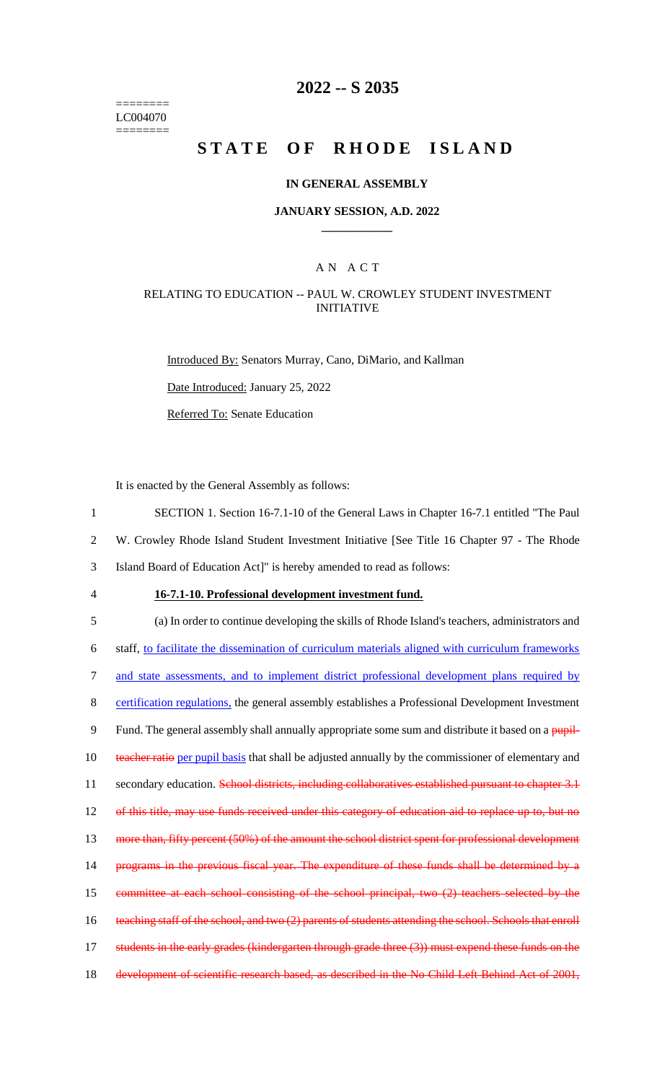======== LC004070 ========

### **2022 -- S 2035**

# **STATE OF RHODE ISLAND**

#### **IN GENERAL ASSEMBLY**

#### **JANUARY SESSION, A.D. 2022 \_\_\_\_\_\_\_\_\_\_\_\_**

### A N A C T

#### RELATING TO EDUCATION -- PAUL W. CROWLEY STUDENT INVESTMENT INITIATIVE

Introduced By: Senators Murray, Cano, DiMario, and Kallman

Date Introduced: January 25, 2022

Referred To: Senate Education

It is enacted by the General Assembly as follows:

1 SECTION 1. Section 16-7.1-10 of the General Laws in Chapter 16-7.1 entitled "The Paul

2 W. Crowley Rhode Island Student Investment Initiative [See Title 16 Chapter 97 - The Rhode

3 Island Board of Education Act]" is hereby amended to read as follows:

#### 4 **16-7.1-10. Professional development investment fund.**

5 (a) In order to continue developing the skills of Rhode Island's teachers, administrators and 6 staff, to facilitate the dissemination of curriculum materials aligned with curriculum frameworks 7 and state assessments, and to implement district professional development plans required by 8 certification regulations, the general assembly establishes a Professional Development Investment 9 Fund. The general assembly shall annually appropriate some sum and distribute it based on a pupil-10 teacher ratio per pupil basis that shall be adjusted annually by the commissioner of elementary and 11 secondary education. School districts, including collaboratives established pursuant to chapter 3.1 12 of this title, may use funds received under this category of education aid to replace up to, but no 13 more than, fifty percent (50%) of the amount the school district spent for professional development 14 programs in the previous fiscal year. The expenditure of these funds shall be determined by a 15 committee at each school consisting of the school principal, two (2) teachers selected by the 16 teaching staff of the school, and two (2) parents of students attending the school. Schools that enroll 17 students in the early grades (kindergarten through grade three (3)) must expend these funds on the 18 development of scientific research based, as described in the No Child Left Behind Act of 2001,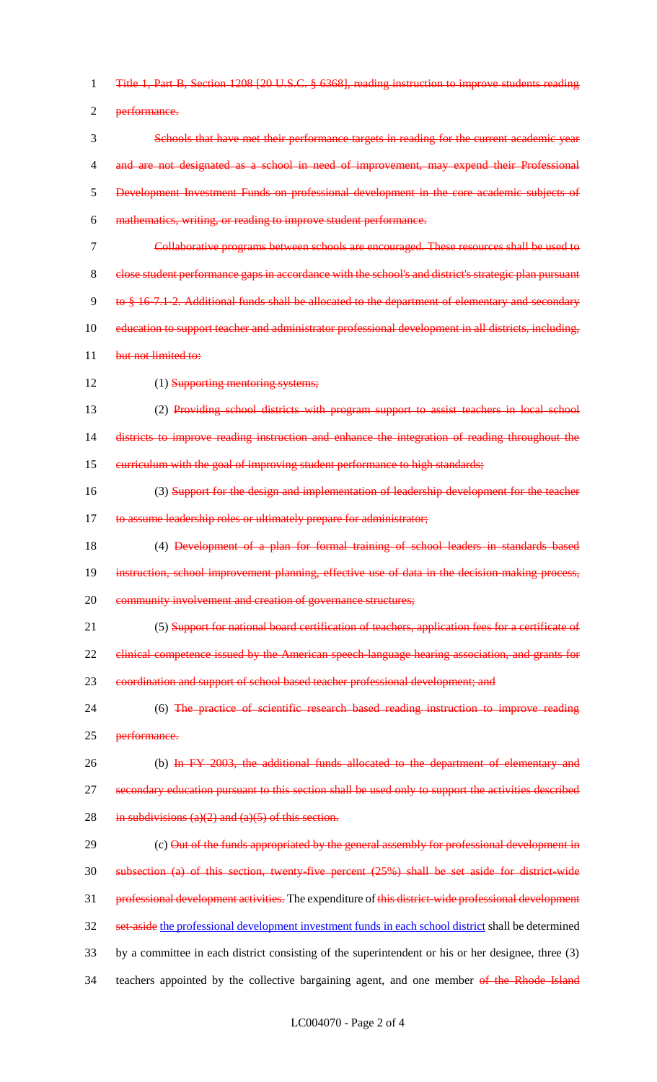1 Title 1, Part B, Section 1208 [20 U.S.C. § 6368], reading instruction to improve students reading 2 performance. 3 Schools that have met their performance targets in reading for the current academic year 4 and are not designated as a school in need of improvement, may expend their Professional 5 Development Investment Funds on professional development in the core academic subjects of 6 mathematics, writing, or reading to improve student performance. 7 Collaborative programs between schools are encouraged. These resources shall be used to 8 close student performance gaps in accordance with the school's and district's strategic plan pursuant 9 to § 16-7.1-2. Additional funds shall be allocated to the department of elementary and secondary 10 education to support teacher and administrator professional development in all districts, including, 11 but not limited to: 12 (1) Supporting mentoring systems; 13 (2) Providing school districts with program support to assist teachers in local school 14 districts to improve reading instruction and enhance the integration of reading throughout the 15 curriculum with the goal of improving student performance to high standards; 16 (3) Support for the design and implementation of leadership development for the teacher 17 to assume leadership roles or ultimately prepare for administrator; 18 (4) Development of a plan for formal training of school leaders in standards based 19 instruction, school improvement planning, effective use of data in the decision-making process, 20 community involvement and creation of governance structures; 21 (5) Support for national board certification of teachers, application fees for a certificate of 22 clinical competence issued by the American speech-language hearing association, and grants for 23 coordination and support of school based teacher professional development; and 24 (6) The practice of scientific research based reading instruction to improve reading 25 performance. 26 (b) In FY 2003, the additional funds allocated to the department of elementary and 27 secondary education pursuant to this section shall be used only to support the activities described 28 in subdivisions  $(a)(2)$  and  $(a)(5)$  of this section. 29 (c) Out of the funds appropriated by the general assembly for professional development in 30 subsection (a) of this section, twenty-five percent (25%) shall be set aside for district-wide 31 professional development activities. The expenditure of this district-wide professional development 32 set-aside the professional development investment funds in each school district shall be determined 33 by a committee in each district consisting of the superintendent or his or her designee, three (3) 34 teachers appointed by the collective bargaining agent, and one member of the Rhode Island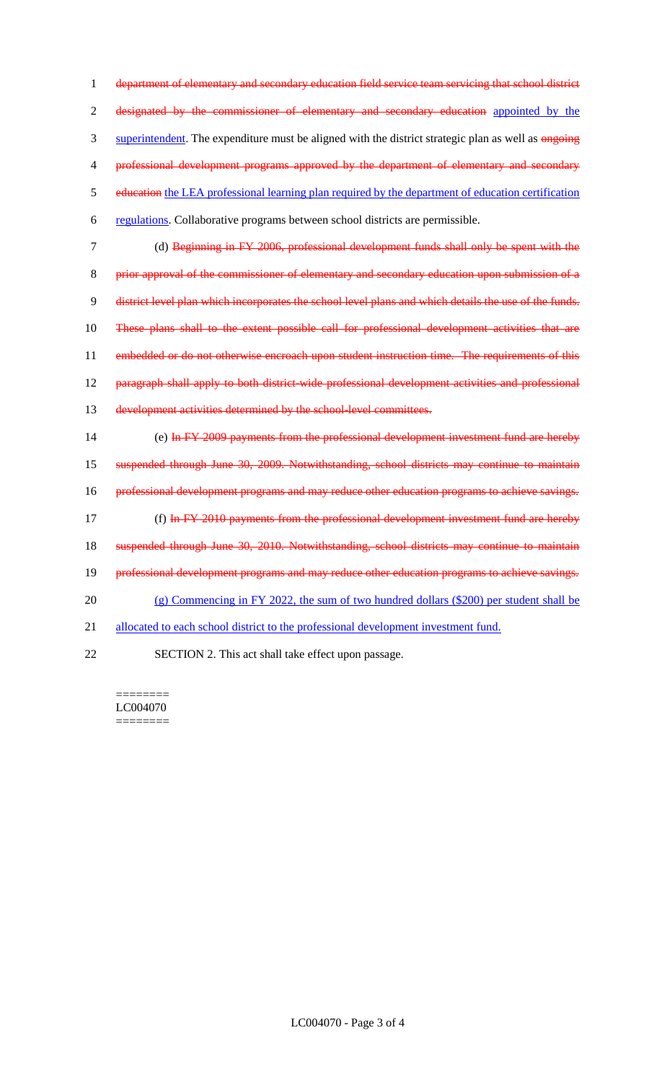1 department of elementary and secondary education field service team servicing that school district 2 designated by the commissioner of elementary and secondary education appointed by the 3 superintendent. The expenditure must be aligned with the district strategic plan as well as ongoing 4 professional development programs approved by the department of elementary and secondary 5 education the LEA professional learning plan required by the department of education certification 6 regulations. Collaborative programs between school districts are permissible.

 (d) Beginning in FY 2006, professional development funds shall only be spent with the prior approval of the commissioner of elementary and secondary education upon submission of a district level plan which incorporates the school level plans and which details the use of the funds. These plans shall to the extent possible call for professional development activities that are 11 embedded or do not otherwise encroach upon student instruction time. The requirements of this paragraph shall apply to both district-wide professional development activities and professional development activities determined by the school-level committees. (e) In FY 2009 payments from the professional development investment fund are hereby

15 suspended through June 30, 2009. Notwithstanding, school districts may continue to maintain 16 professional development programs and may reduce other education programs to achieve savings. 17 (f) In FY 2010 payments from the professional development investment fund are hereby 18 suspended through June 30, 2010. Notwithstanding, school districts may continue to maintain 19 professional development programs and may reduce other education programs to achieve savings. 20 (g) Commencing in FY 2022, the sum of two hundred dollars (\$200) per student shall be 21 allocated to each school district to the professional development investment fund.

22 SECTION 2. This act shall take effect upon passage.

======== LC004070 ========